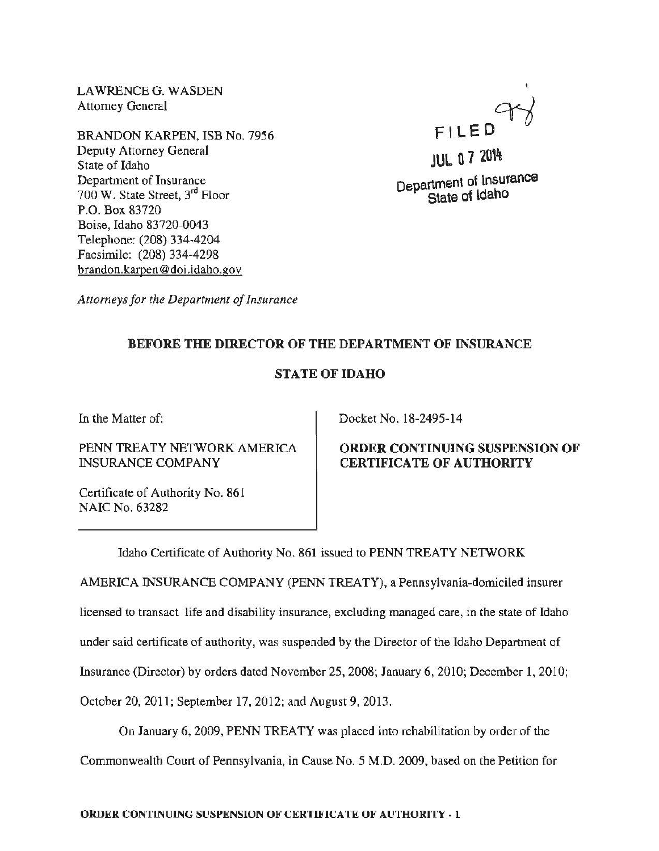LAWRENCE G. WASDEN Attorney General

BRANDON KARPEN, ISB No. 7956 Deputy Attorney General State of Idaho Department of Insurance 700 W. State Street, 3rd Floor P.O. Box 83720 Boise, Idaho 83720-0043 Telephone: (208) 334-4204 Facsimile: (208) 334-4298 brandon.karpen @doi.idaho.gov

 $FILED$ 

**JUL 0 7 2014** Department of Insurance State of Idaho

*Attorneys for the Department of Insurance* 

# BEFORE THE DIRECTOR OF THE DEPARTMENT OF INSURANCE

## STATE OF IDAHO

In the Matter of:

PENN TREATY NETWORK AMERICA INSURANCE COMPANY

Certificate of Authority No. 861 NAIC No. 63282

Docket No. 18-2495-14

### ORDER CONTINUING SUSPENSION OF CERTIFICATE OF AUTHORITY

Idaho Certificate of Authority No. 861 issued to PENN TREATY NETWORK

AMERICA INSURANCE COMPANY (PENN TREATY), a Pennsylvania-domiciled insurer

licensed to transact life and disability insurance, excluding managed care, in the state of Idaho

under said certificate of authority, was suspended by the Director of the Idaho Department of

Insurance (Director) by orders dated November 25, 2008; January 6, 2010; December 1, 2010;

October 20, 2011; September 17, 2012; and August 9, 2013.

On January 6, 2009, PENN TREATY was placed into rehabilitation by order of the

Commonwealth Court of Pennsylvania, in Cause No. 5 M.D. 2009, based on the Petition for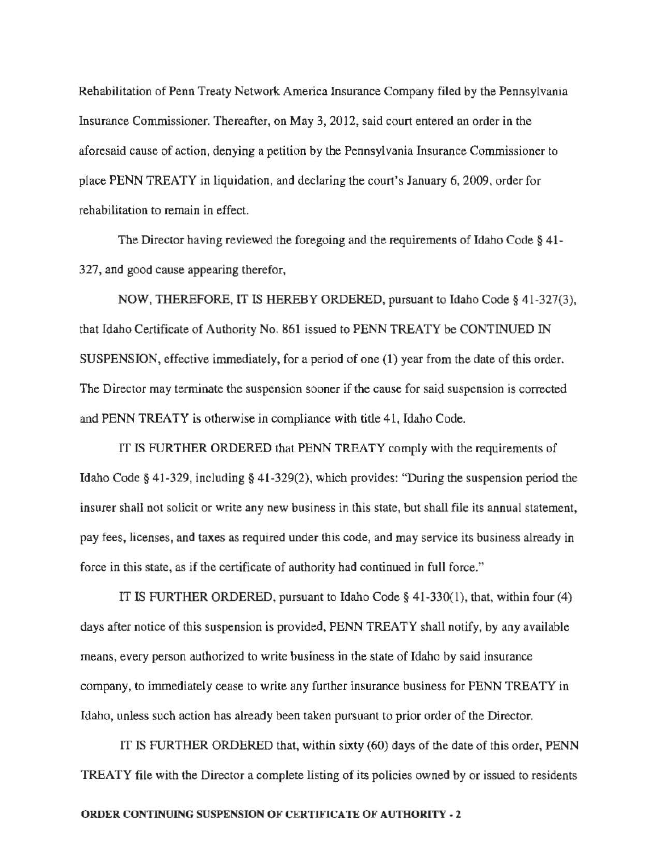Rehabilitation of Penn Treaty Network America Insurance Company filed by the Pennsylvania Insurance Commissioner. Thereafter, on May 3, 2012, said court entered an order in the aforesaid cause of action, denying a petition by the Pennsylvania Insurance Commissioner to place PENN TREATY in liquidation, and declaring the court's January 6, 2009, order for rehabilitation to remain in effect.

The Director having reviewed the foregoing and the requirements of Idaho Code § 41-327, and good cause appearing therefor,

NOW, THEREFORE, IT IS HEREBY ORDERED, pursuant to Idaho Code§ 41-327(3), that Idaho Certificate of Authority No. 861 issued to PENN TREATY be CONTINUED IN SUSPENSION, effective immediately, for a period of one (1) year from the date of this order. The Director may terminate the suspension sooner if the cause for said suspension is corrected and PENN TREATY is otherwise in compliance with title 41, Idaho Code.

IT IS FURTHER ORDERED that PENN TREATY comply with the requirements of Idaho Code§ 41-329, including§ 41-329(2), which provides: "During the suspension period the insurer shall not solicit or write any new business in this state, but shall file its annual statement, pay fees, licenses, and taxes as required under this code, and may service its business already in force in this state, as if the certificate of authority had continued in full force."

IT IS FURTHER ORDERED, pursuant to Idaho Code§ 41-330(1), that, within four (4) days after notice of this suspension is provided, PENN TREATY shall notify, by any available means, every person authorized to write business in the state of Idaho by said insurance company, to immediately cease to write any further insurance business for PENN TREATY in Idaho, unless such action has already been taken pursuant to prior order of the Director.

IT IS FURTHER ORDERED that, within sixty (60) days of the date of this order, PENN TREATY file with the Director a complete listing of its policies owned by or issued to residents

#### ORDER CONTINUING SUSPENSION OF CERTIFICATE OF AUTHORITY • 2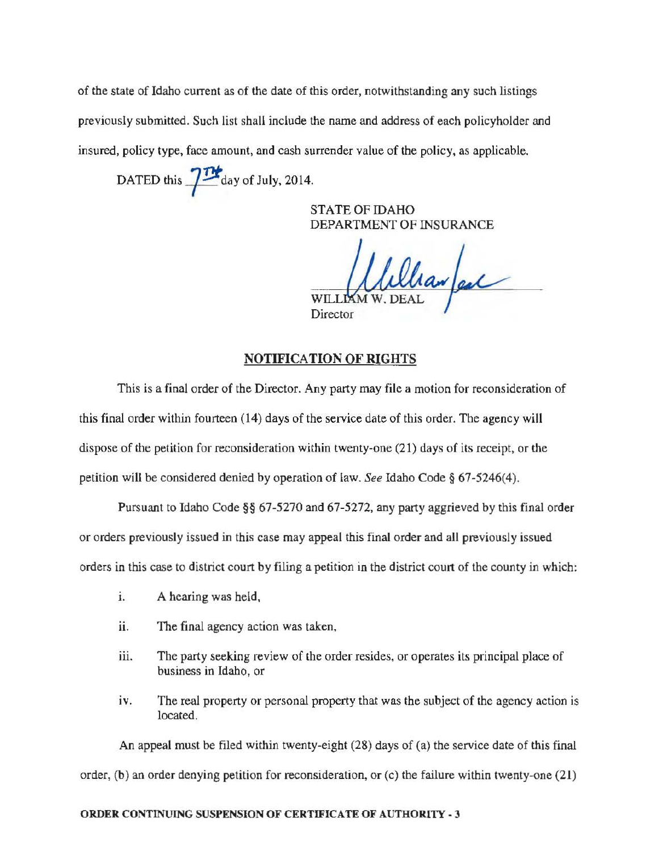of the state of Idaho current as of the date of this order, notwithstanding any such listings previously submitted. Such list shall include the name and address of each policyholder and insured, policy type, face amount, and cash surrender value of the policy, as applicable.

DATED this  $\frac{1}{2}$  day of July, 2014.

STATE OF IDAHO DEPARTMENT OF INSURANCE

hanfeel  $WILLI$ 

Director

# NOTIFICATION OF RIGHTS

This is a final order of the Director. Any party may file a motion for reconsideration of this final order within fourteen (14) days of the service date of this order. The agency will dispose of the petition for reconsideration within twenty-one (21) days of its receipt, or the petition will be considered denied by operation of law. *See* Idaho Code§ 67-5246(4).

Pursuant to Idaho Code§§ 67-5270 and 67-5272, any party aggrieved by this final order or orders previously issued in this case may appeal this final order and all previously issued orders in this case to district court by filing a petition in the district court of the county in which:

- 1. A hearing was held,
- ii. The final agency action was taken,
- iii. The party seeking review of the order resides, or operates its principal place of business in Idaho, or
- iv. The real property or personal property that was the subject of the agency action is located.

An appeal must be filed within twenty-eight (28) days of (a) the service date of this final order, (b) an order denying petition for reconsideration, or (c) the failure within twenty-one (21)

### ORDER CONTINUING SUSPENSION OF CERTIFICATE OF AUTHORITY- 3